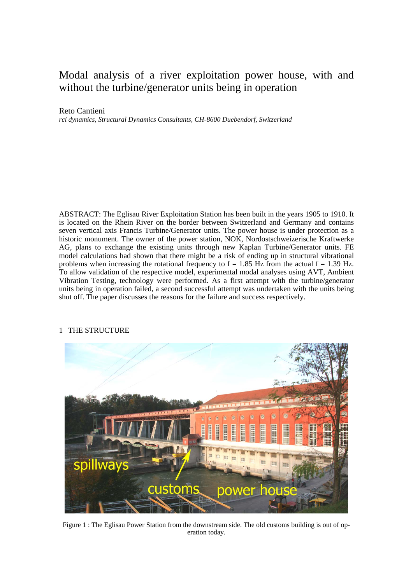# Modal analysis of a river exploitation power house, with and without the turbine/generator units being in operation

## Reto Cantieni

*rci dynamics, Structural Dynamics Consultants, CH-8600 Duebendorf, Switzerland* 

ABSTRACT: The Eglisau River Exploitation Station has been built in the years 1905 to 1910. It is located on the Rhein River on the border between Switzerland and Germany and contains seven vertical axis Francis Turbine/Generator units. The power house is under protection as a historic monument. The owner of the power station, NOK, Nordostschweizerische Kraftwerke AG, plans to exchange the existing units through new Kaplan Turbine/Generator units. FE model calculations had shown that there might be a risk of ending up in structural vibrational problems when increasing the rotational frequency to  $f = 1.85$  Hz from the actual  $f = 1.39$  Hz. To allow validation of the respective model, experimental modal analyses using AVT, Ambient Vibration Testing, technology were performed. As a first attempt with the turbine/generator units being in operation failed, a second successful attempt was undertaken with the units being shut off. The paper discusses the reasons for the failure and success respectively.



# 1 THE STRUCTURE

Figure 1 : The Eglisau Power Station from the downstream side. The old customs building is out of operation today.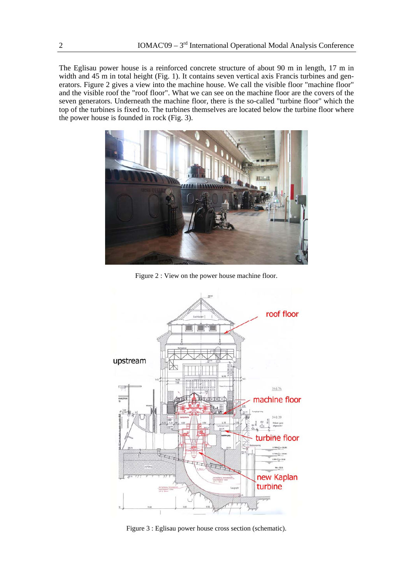The Eglisau power house is a reinforced concrete structure of about 90 m in length, 17 m in width and 45 m in total height (Fig. 1). It contains seven vertical axis Francis turbines and generators. Figure 2 gives a view into the machine house. We call the visible floor "machine floor" and the visible roof the "roof floor". What we can see on the machine floor are the covers of the seven generators. Underneath the machine floor, there is the so-called "turbine floor" which the top of the turbines is fixed to. The turbines themselves are located below the turbine floor where the power house is founded in rock (Fig. 3).



Figure 2 : View on the power house machine floor.



Figure 3 : Eglisau power house cross section (schematic).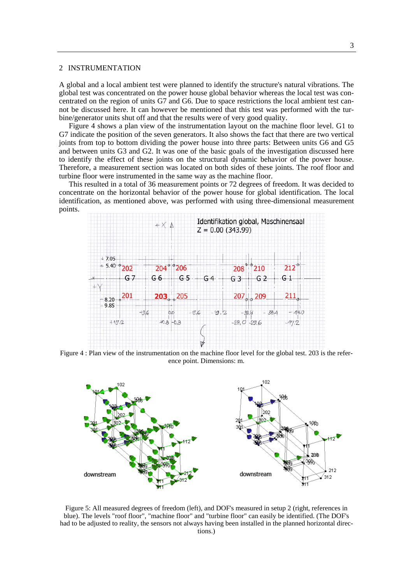#### 2 INSTRUMENTATION

A global and a local ambient test were planned to identify the structure's natural vibrations. The global test was concentrated on the power house global behavior whereas the local test was concentrated on the region of units G7 and G6. Due to space restrictions the local ambient test cannot be discussed here. It can however be mentioned that this test was performed with the turbine/generator units shut off and that the results were of very good quality.

Figure 4 shows a plan view of the instrumentation layout on the machine floor level. G1 to G7 indicate the position of the seven generators. It also shows the fact that there are two vertical joints from top to bottom dividing the power house into three parts: Between units G6 and G5 and between units G3 and G2. It was one of the basic goals of the investigation discussed here to identify the effect of these joints on the structural dynamic behavior of the power house. Therefore, a measurement section was located on both sides of these joints. The roof floor and turbine floor were instrumented in the same way as the machine floor.

This resulted in a total of 36 measurement points or 72 degrees of freedom. It was decided to concentrate on the horizontal behavior of the power house for global identification. The local identification, as mentioned above, was performed with using three-dimensional measurement points.



Figure 4 : Plan view of the instrumentation on the machine floor level for the global test. 203 is the reference point. Dimensions: m.



Figure 5: All measured degrees of freedom (left), and DOF's measured in setup 2 (right, references in blue). The levels "roof floor", "machine floor" and "turbine floor" can easily be identified. (The DOF's had to be adjusted to reality, the sensors not always having been installed in the planned horizontal directions.)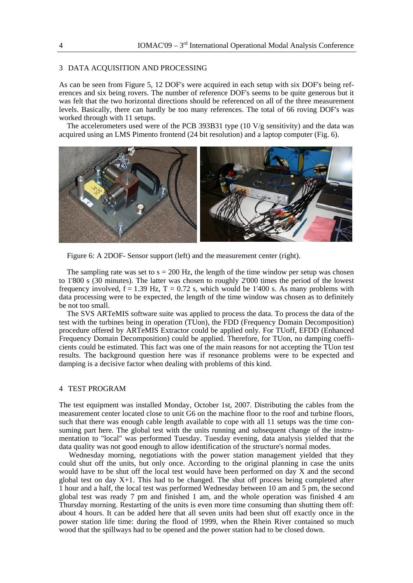# 3 DATA ACQUISITION AND PROCESSING

As can be seen from Figure 5, 12 DOF's were acquired in each setup with six DOF's being references and six being rovers. The number of reference DOF's seems to be quite generous but it was felt that the two horizontal directions should be referenced on all of the three measurement levels. Basically, there can hardly be too many references. The total of 66 roving DOF's was worked through with 11 setups.

The accelerometers used were of the PCB 393B31 type (10  $V/g$  sensitivity) and the data was acquired using an LMS Pimento frontend (24 bit resolution) and a laptop computer (Fig. 6).



Figure 6: A 2DOF- Sensor support (left) and the measurement center (right).

The sampling rate was set to  $s = 200$  Hz, the length of the time window per setup was chosen to 1'800 s (30 minutes). The latter was chosen to roughly 2'000 times the period of the lowest frequency involved,  $f = 1.39$  Hz,  $T = 0.72$  s, which would be 1'400 s. As many problems with data processing were to be expected, the length of the time window was chosen as to definitely be not too small.

The SVS ARTeMIS software suite was applied to process the data. To process the data of the test with the turbines being in operation (TUon), the FDD (Frequency Domain Decomposition) procedure offered by ARTeMIS Extractor could be applied only. For TUoff, EFDD (Enhanced Frequency Domain Decomposition) could be applied. Therefore, for TUon, no damping coefficients could be estimated. This fact was one of the main reasons for not accepting the TUon test results. The background question here was if resonance problems were to be expected and damping is a decisive factor when dealing with problems of this kind.

### 4 TEST PROGRAM

The test equipment was installed Monday, October 1st, 2007. Distributing the cables from the measurement center located close to unit G6 on the machine floor to the roof and turbine floors, such that there was enough cable length available to cope with all 11 setups was the time consuming part here. The global test with the units running and subsequent change of the instrumentation to "local" was performed Tuesday. Tuesday evening, data analysis yielded that the data quality was not good enough to allow identification of the structure's normal modes.

Wednesday morning, negotiations with the power station management yielded that they could shut off the units, but only once. According to the original planning in case the units would have to be shut off the local test would have been performed on day X and the second global test on day  $X+1$ . This had to be changed. The shut off process being completed after 1 hour and a half, the local test was performed Wednesday between 10 am and 5 pm, the second global test was ready 7 pm and finished 1 am, and the whole operation was finished 4 am Thursday morning. Restarting of the units is even more time consuming than shutting them off: about 4 hours. It can be added here that all seven units had been shut off exactly once in the power station life time: during the flood of 1999, when the Rhein River contained so much wood that the spillways had to be opened and the power station had to be closed down.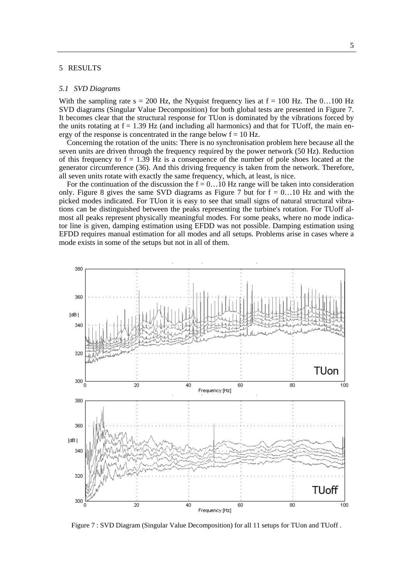#### 5 RESULTS

#### *5.1 SVD Diagrams*

With the sampling rate  $s = 200$  Hz, the Nyquist frequency lies at  $f = 100$  Hz. The 0...100 Hz SVD diagrams (Singular Value Decomposition) for both global tests are presented in Figure 7. It becomes clear that the structural response for TUon is dominated by the vibrations forced by the units rotating at  $f = 1.39$  Hz (and including all harmonics) and that for TUoff, the main energy of the response is concentrated in the range below  $f = 10$  Hz.

Concerning the rotation of the units: There is no synchronisation problem here because all the seven units are driven through the frequency required by the power network (50 Hz). Reduction of this frequency to  $f = 1.39$  Hz is a consequence of the number of pole shoes located at the generator circumference (36). And this driving frequency is taken from the network. Therefore, all seven units rotate with exactly the same frequency, which, at least, is nice.

For the continuation of the discussion the  $f = 0...10$  Hz range will be taken into consideration only. Figure 8 gives the same SVD diagrams as Figure 7 but for  $f = 0...10$  Hz and with the picked modes indicated. For TUon it is easy to see that small signs of natural structural vibrations can be distinguished between the peaks representing the turbine's rotation. For TUoff almost all peaks represent physically meaningful modes. For some peaks, where no mode indicator line is given, damping estimation using EFDD was not possible. Damping estimation using EFDD requires manual estimation for all modes and all setups. Problems arise in cases where a mode exists in some of the setups but not in all of them.



Figure 7 : SVD Diagram (Singular Value Decomposition) for all 11 setups for TUon and TUoff .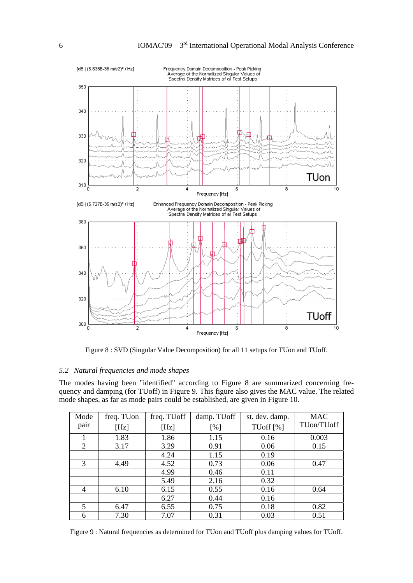

Figure 8 : SVD (Singular Value Decomposition) for all 11 setups for TUon and TUoff.

## *5.2 Natural frequencies and mode shapes*

The modes having been "identified" according to Figure 8 are summarized concerning frequency and damping (for TUoff) in Figure 9. This figure also gives the MAC value. The related mode shapes, as far as mode pairs could be established, are given in Figure 10.

| Mode           | freq. TUon | freq. TUoff | damp. TUoff | st. dev. damp.           | <b>MAC</b> |
|----------------|------------|-------------|-------------|--------------------------|------------|
| pair           | [Hz]       | [Hz]        | [%]         | TU of $\lceil \% \rceil$ | TUon/TUoff |
|                | 1.83       | 1.86        | 1.15        | 0.16                     | 0.003      |
| 2              | 3.17       | 3.29        | 0.91        | 0.06                     | 0.15       |
|                |            | 4.24        | 1.15        | 0.19                     |            |
| 3              | 4.49       | 4.52        | 0.73        | 0.06                     | 0.47       |
|                |            | 4.99        | 0.46        | 0.11                     |            |
|                |            | 5.49        | 2.16        | 0.32                     |            |
| $\overline{4}$ | 6.10       | 6.15        | 0.55        | 0.16                     | 0.64       |
|                |            | 6.27        | 0.44        | 0.16                     |            |
| 5              | 6.47       | 6.55        | 0.75        | 0.18                     | 0.82       |
| 6              | 7.30       | 7.07        | 0.31        | 0.03                     | 0.51       |

Figure 9 : Natural frequencies as determined for TUon and TUoff plus damping values for TUoff.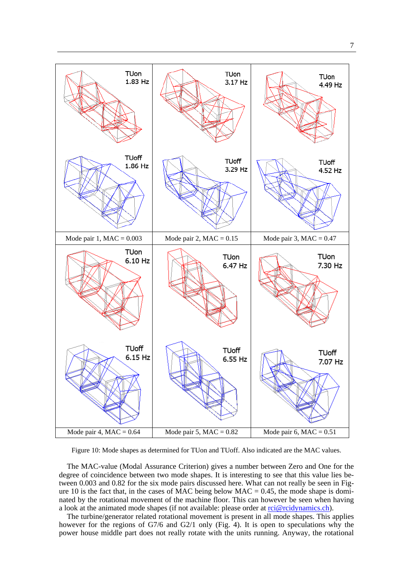![](_page_6_Figure_0.jpeg)

Figure 10: Mode shapes as determined for TUon and TUoff. Also indicated are the MAC values.

The MAC-value (Modal Assurance Criterion) gives a number between Zero and One for the degree of coincidence between two mode shapes. It is interesting to see that this value lies between 0.003 and 0.82 for the six mode pairs discussed here. What can not really be seen in Figure 10 is the fact that, in the cases of MAC being below MAC =  $0.45$ , the mode shape is dominated by the rotational movement of the machine floor. This can however be seen when having a look at the animated mode shapes (if not available: please order at  $\frac{ric@rcidynamics.ch)}{c@rcidynamics.ch}$ .

The turbine/generator related rotational movement is present in all mode shapes. This applies however for the regions of G7/6 and G2/1 only (Fig. 4). It is open to speculations why the power house middle part does not really rotate with the units running. Anyway, the rotational